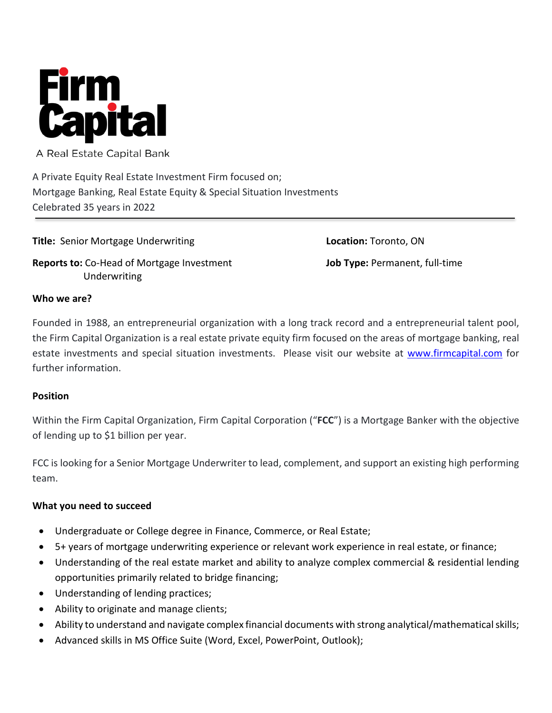

A Real Estate Capital Bank

A Private Equity Real Estate Investment Firm focused on; Mortgage Banking, Real Estate Equity & Special Situation Investments Celebrated 35 years in 2022

**Title:** Senior Mortgage Underwriting

**Reports to:** Co-Head of Mortgage Investment Underwriting

**Location:** Toronto, ON **Job Type:** Permanent, full-time

#### **Who we are?**

Founded in 1988, an entrepreneurial organization with a long track record and a entrepreneurial talent pool, the Firm Capital Organization is a real estate private equity firm focused on the areas of mortgage banking, real estate investments and special situation investments. Please visit our website at [www.firmcapital.com](http://www.firmcapital.com/) for further information.

## **Position**

Within the Firm Capital Organization, Firm Capital Corporation ("**FCC**") is a Mortgage Banker with the objective of lending up to \$1 billion per year.

FCC is looking for a Senior Mortgage Underwriter to lead, complement, and support an existing high performing team.

## **What you need to succeed**

- Undergraduate or College degree in Finance, Commerce, or Real Estate;
- 5+ years of mortgage underwriting experience or relevant work experience in real estate, or finance;
- Understanding of the real estate market and ability to analyze complex commercial & residential lending opportunities primarily related to bridge financing;
- Understanding of lending practices;
- Ability to originate and manage clients;
- Ability to understand and navigate complex financial documents with strong analytical/mathematical skills;
- Advanced skills in MS Office Suite (Word, Excel, PowerPoint, Outlook);